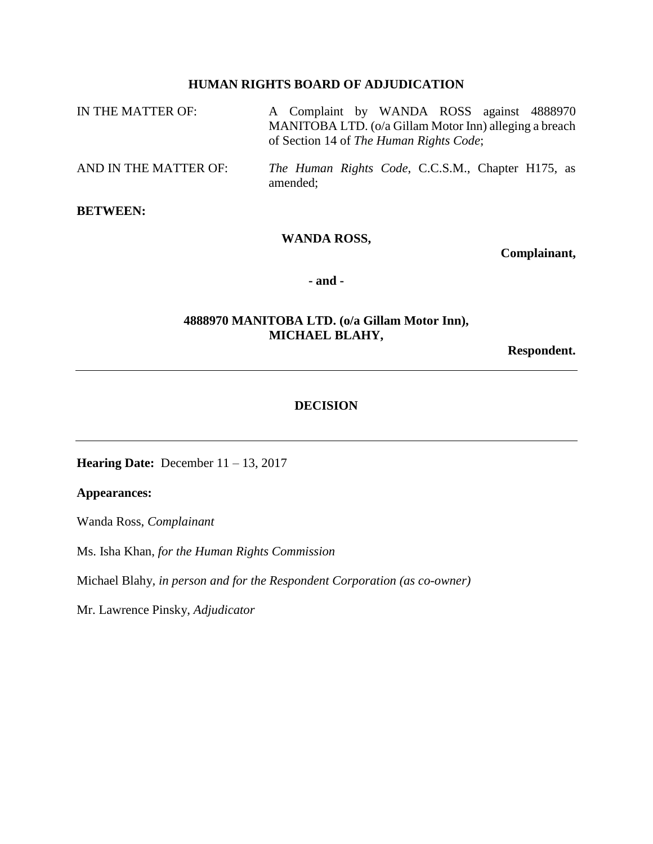# **HUMAN RIGHTS BOARD OF ADJUDICATION**

| IN THE MATTER OF:     | A Complaint by WANDA ROSS against 4888970                                                         |  |  |
|-----------------------|---------------------------------------------------------------------------------------------------|--|--|
|                       | MANITOBA LTD. (o/a Gillam Motor Inn) alleging a breach<br>of Section 14 of The Human Rights Code; |  |  |
| AND IN THE MATTER OF: | The Human Rights Code, C.C.S.M., Chapter H175, as<br>amended;                                     |  |  |

# **BETWEEN:**

## **WANDA ROSS,**

**Complainant,**

**- and -**

## **4888970 MANITOBA LTD. (o/a Gillam Motor Inn), MICHAEL BLAHY,**

**Respondent.**

## **DECISION**

**Hearing Date:** December 11 – 13, 2017

# **Appearances:**

Wanda Ross, *Complainant*

Ms. Isha Khan, *for the Human Rights Commission*

Michael Blahy*, in person and for the Respondent Corporation (as co-owner)*

Mr. Lawrence Pinsky, *Adjudicator*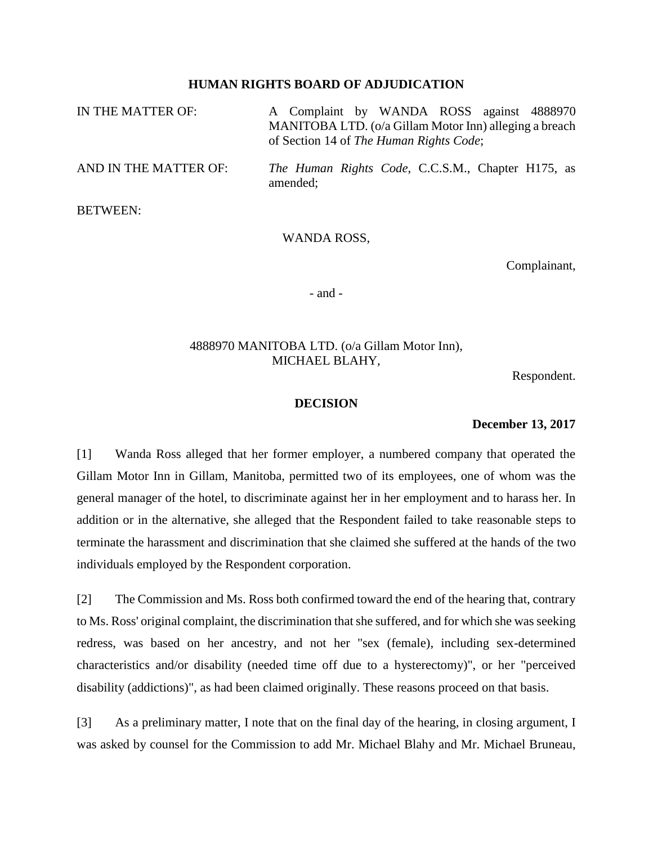### **HUMAN RIGHTS BOARD OF ADJUDICATION**

| IN THE MATTER OF:     | A Complaint by WANDA ROSS against 4888970<br>MANITOBA LTD. (o/a Gillam Motor Inn) alleging a breach<br>of Section 14 of The Human Rights Code; |
|-----------------------|------------------------------------------------------------------------------------------------------------------------------------------------|
| AND IN THE MATTER OF: | <i>The Human Rights Code</i> , C.C.S.M., Chapter H175, as<br>amended;                                                                          |
| <b>BETWEEN:</b>       |                                                                                                                                                |

#### WANDA ROSS,

Complainant,

- and -

## 4888970 MANITOBA LTD. (o/a Gillam Motor Inn), MICHAEL BLAHY,

Respondent.

#### **DECISION**

### **December 13, 2017**

[1] Wanda Ross alleged that her former employer, a numbered company that operated the Gillam Motor Inn in Gillam, Manitoba, permitted two of its employees, one of whom was the general manager of the hotel, to discriminate against her in her employment and to harass her. In addition or in the alternative, she alleged that the Respondent failed to take reasonable steps to terminate the harassment and discrimination that she claimed she suffered at the hands of the two individuals employed by the Respondent corporation.

[2] The Commission and Ms. Ross both confirmed toward the end of the hearing that, contrary to Ms. Ross' original complaint, the discrimination that she suffered, and for which she was seeking redress, was based on her ancestry, and not her "sex (female), including sex-determined characteristics and/or disability (needed time off due to a hysterectomy)", or her "perceived disability (addictions)", as had been claimed originally. These reasons proceed on that basis.

[3] As a preliminary matter, I note that on the final day of the hearing, in closing argument, I was asked by counsel for the Commission to add Mr. Michael Blahy and Mr. Michael Bruneau,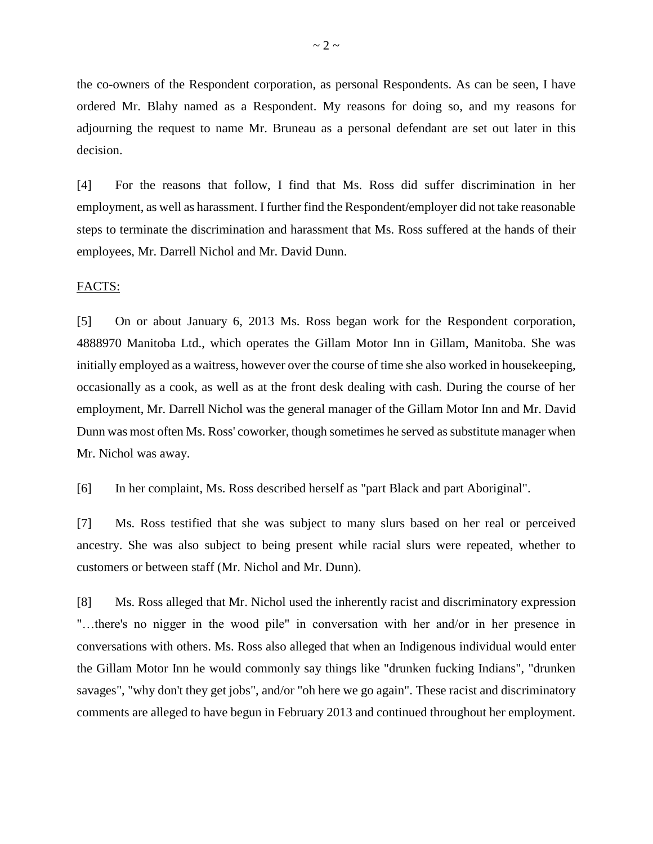the co-owners of the Respondent corporation, as personal Respondents. As can be seen, I have ordered Mr. Blahy named as a Respondent. My reasons for doing so, and my reasons for adjourning the request to name Mr. Bruneau as a personal defendant are set out later in this decision.

[4] For the reasons that follow, I find that Ms. Ross did suffer discrimination in her employment, as well as harassment. I further find the Respondent/employer did not take reasonable steps to terminate the discrimination and harassment that Ms. Ross suffered at the hands of their employees, Mr. Darrell Nichol and Mr. David Dunn.

#### FACTS:

[5] On or about January 6, 2013 Ms. Ross began work for the Respondent corporation, 4888970 Manitoba Ltd., which operates the Gillam Motor Inn in Gillam, Manitoba. She was initially employed as a waitress, however over the course of time she also worked in housekeeping, occasionally as a cook, as well as at the front desk dealing with cash. During the course of her employment, Mr. Darrell Nichol was the general manager of the Gillam Motor Inn and Mr. David Dunn was most often Ms. Ross' coworker, though sometimes he served as substitute manager when Mr. Nichol was away.

[6] In her complaint, Ms. Ross described herself as "part Black and part Aboriginal".

[7] Ms. Ross testified that she was subject to many slurs based on her real or perceived ancestry. She was also subject to being present while racial slurs were repeated, whether to customers or between staff (Mr. Nichol and Mr. Dunn).

[8] Ms. Ross alleged that Mr. Nichol used the inherently racist and discriminatory expression "…there's no nigger in the wood pile" in conversation with her and/or in her presence in conversations with others. Ms. Ross also alleged that when an Indigenous individual would enter the Gillam Motor Inn he would commonly say things like "drunken fucking Indians", "drunken savages", "why don't they get jobs", and/or "oh here we go again". These racist and discriminatory comments are alleged to have begun in February 2013 and continued throughout her employment.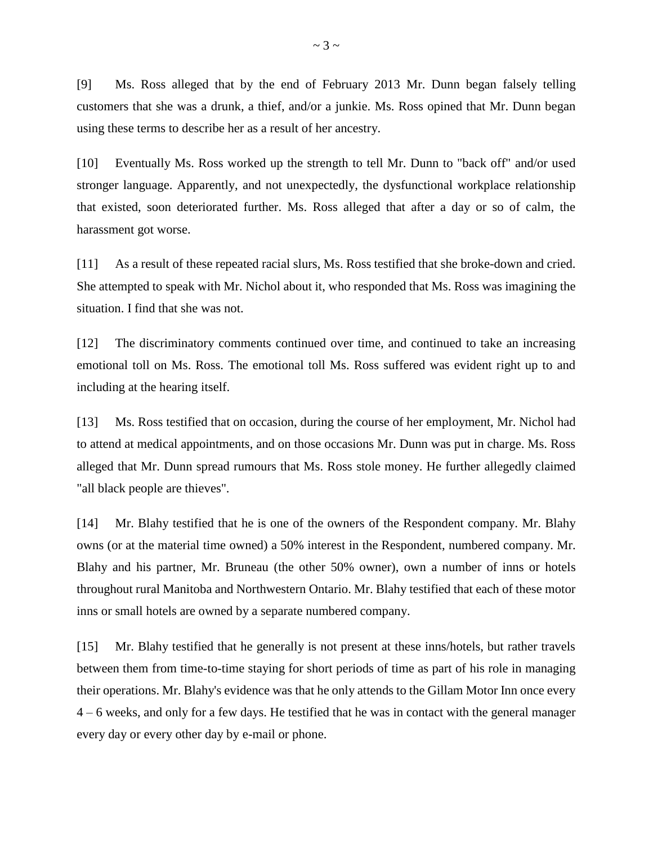[9] Ms. Ross alleged that by the end of February 2013 Mr. Dunn began falsely telling customers that she was a drunk, a thief, and/or a junkie. Ms. Ross opined that Mr. Dunn began using these terms to describe her as a result of her ancestry.

[10] Eventually Ms. Ross worked up the strength to tell Mr. Dunn to "back off" and/or used stronger language. Apparently, and not unexpectedly, the dysfunctional workplace relationship that existed, soon deteriorated further. Ms. Ross alleged that after a day or so of calm, the harassment got worse.

[11] As a result of these repeated racial slurs, Ms. Ross testified that she broke-down and cried. She attempted to speak with Mr. Nichol about it, who responded that Ms. Ross was imagining the situation. I find that she was not.

[12] The discriminatory comments continued over time, and continued to take an increasing emotional toll on Ms. Ross. The emotional toll Ms. Ross suffered was evident right up to and including at the hearing itself.

[13] Ms. Ross testified that on occasion, during the course of her employment, Mr. Nichol had to attend at medical appointments, and on those occasions Mr. Dunn was put in charge. Ms. Ross alleged that Mr. Dunn spread rumours that Ms. Ross stole money. He further allegedly claimed "all black people are thieves".

[14] Mr. Blahy testified that he is one of the owners of the Respondent company. Mr. Blahy owns (or at the material time owned) a 50% interest in the Respondent, numbered company. Mr. Blahy and his partner, Mr. Bruneau (the other 50% owner), own a number of inns or hotels throughout rural Manitoba and Northwestern Ontario. Mr. Blahy testified that each of these motor inns or small hotels are owned by a separate numbered company.

[15] Mr. Blahy testified that he generally is not present at these inns/hotels, but rather travels between them from time-to-time staying for short periods of time as part of his role in managing their operations. Mr. Blahy's evidence was that he only attends to the Gillam Motor Inn once every 4 – 6 weeks, and only for a few days. He testified that he was in contact with the general manager every day or every other day by e-mail or phone.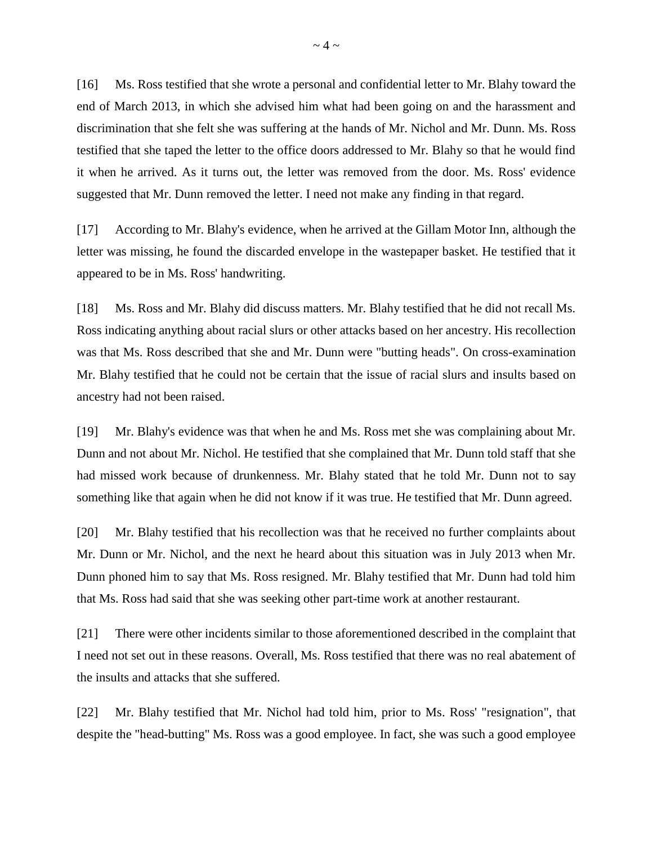[16] Ms. Ross testified that she wrote a personal and confidential letter to Mr. Blahy toward the end of March 2013, in which she advised him what had been going on and the harassment and discrimination that she felt she was suffering at the hands of Mr. Nichol and Mr. Dunn. Ms. Ross testified that she taped the letter to the office doors addressed to Mr. Blahy so that he would find it when he arrived. As it turns out, the letter was removed from the door. Ms. Ross' evidence suggested that Mr. Dunn removed the letter. I need not make any finding in that regard.

[17] According to Mr. Blahy's evidence, when he arrived at the Gillam Motor Inn, although the letter was missing, he found the discarded envelope in the wastepaper basket. He testified that it appeared to be in Ms. Ross' handwriting.

[18] Ms. Ross and Mr. Blahy did discuss matters. Mr. Blahy testified that he did not recall Ms. Ross indicating anything about racial slurs or other attacks based on her ancestry. His recollection was that Ms. Ross described that she and Mr. Dunn were "butting heads". On cross-examination Mr. Blahy testified that he could not be certain that the issue of racial slurs and insults based on ancestry had not been raised.

[19] Mr. Blahy's evidence was that when he and Ms. Ross met she was complaining about Mr. Dunn and not about Mr. Nichol. He testified that she complained that Mr. Dunn told staff that she had missed work because of drunkenness. Mr. Blahy stated that he told Mr. Dunn not to say something like that again when he did not know if it was true. He testified that Mr. Dunn agreed.

[20] Mr. Blahy testified that his recollection was that he received no further complaints about Mr. Dunn or Mr. Nichol, and the next he heard about this situation was in July 2013 when Mr. Dunn phoned him to say that Ms. Ross resigned. Mr. Blahy testified that Mr. Dunn had told him that Ms. Ross had said that she was seeking other part-time work at another restaurant.

[21] There were other incidents similar to those aforementioned described in the complaint that I need not set out in these reasons. Overall, Ms. Ross testified that there was no real abatement of the insults and attacks that she suffered.

[22] Mr. Blahy testified that Mr. Nichol had told him, prior to Ms. Ross' "resignation", that despite the "head-butting" Ms. Ross was a good employee. In fact, she was such a good employee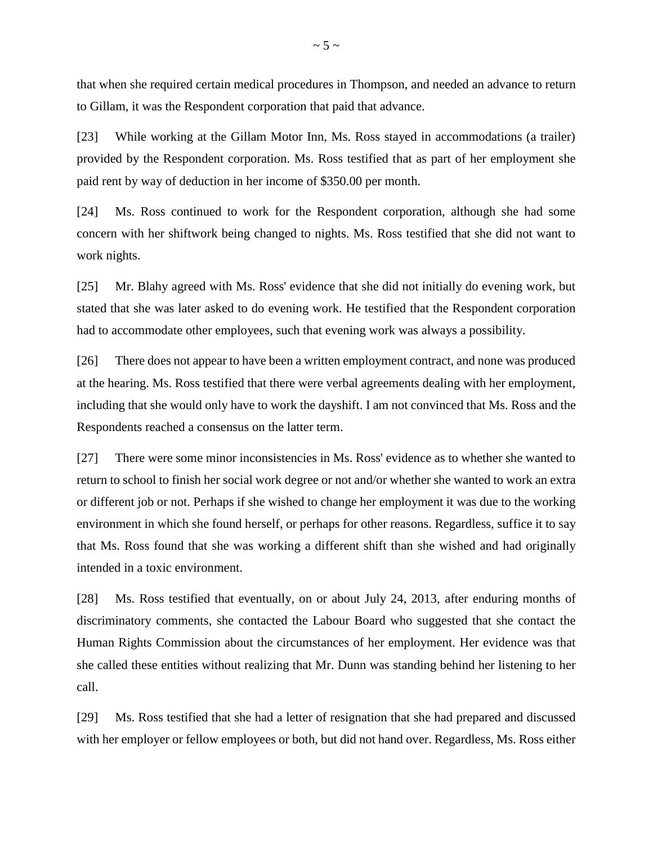that when she required certain medical procedures in Thompson, and needed an advance to return to Gillam, it was the Respondent corporation that paid that advance.

[23] While working at the Gillam Motor Inn, Ms. Ross stayed in accommodations (a trailer) provided by the Respondent corporation. Ms. Ross testified that as part of her employment she paid rent by way of deduction in her income of \$350.00 per month.

[24] Ms. Ross continued to work for the Respondent corporation, although she had some concern with her shiftwork being changed to nights. Ms. Ross testified that she did not want to work nights.

[25] Mr. Blahy agreed with Ms. Ross' evidence that she did not initially do evening work, but stated that she was later asked to do evening work. He testified that the Respondent corporation had to accommodate other employees, such that evening work was always a possibility.

[26] There does not appear to have been a written employment contract, and none was produced at the hearing. Ms. Ross testified that there were verbal agreements dealing with her employment, including that she would only have to work the dayshift. I am not convinced that Ms. Ross and the Respondents reached a consensus on the latter term.

[27] There were some minor inconsistencies in Ms. Ross' evidence as to whether she wanted to return to school to finish her social work degree or not and/or whether she wanted to work an extra or different job or not. Perhaps if she wished to change her employment it was due to the working environment in which she found herself, or perhaps for other reasons. Regardless, suffice it to say that Ms. Ross found that she was working a different shift than she wished and had originally intended in a toxic environment.

[28] Ms. Ross testified that eventually, on or about July 24, 2013, after enduring months of discriminatory comments, she contacted the Labour Board who suggested that she contact the Human Rights Commission about the circumstances of her employment. Her evidence was that she called these entities without realizing that Mr. Dunn was standing behind her listening to her call.

[29] Ms. Ross testified that she had a letter of resignation that she had prepared and discussed with her employer or fellow employees or both, but did not hand over. Regardless, Ms. Ross either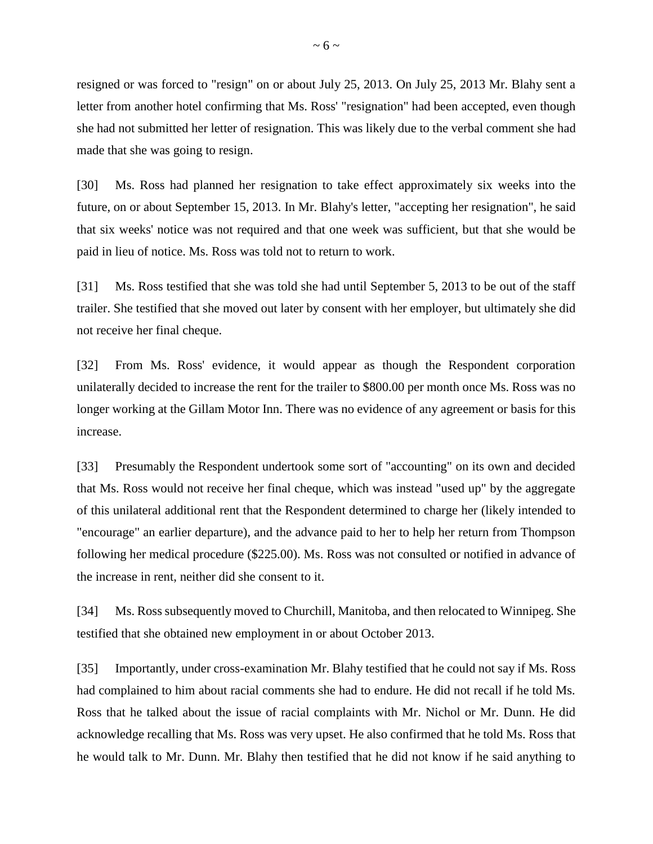resigned or was forced to "resign" on or about July 25, 2013. On July 25, 2013 Mr. Blahy sent a letter from another hotel confirming that Ms. Ross' "resignation" had been accepted, even though she had not submitted her letter of resignation. This was likely due to the verbal comment she had made that she was going to resign.

[30] Ms. Ross had planned her resignation to take effect approximately six weeks into the future, on or about September 15, 2013. In Mr. Blahy's letter, "accepting her resignation", he said that six weeks' notice was not required and that one week was sufficient, but that she would be paid in lieu of notice. Ms. Ross was told not to return to work.

[31] Ms. Ross testified that she was told she had until September 5, 2013 to be out of the staff trailer. She testified that she moved out later by consent with her employer, but ultimately she did not receive her final cheque.

[32] From Ms. Ross' evidence, it would appear as though the Respondent corporation unilaterally decided to increase the rent for the trailer to \$800.00 per month once Ms. Ross was no longer working at the Gillam Motor Inn. There was no evidence of any agreement or basis for this increase.

[33] Presumably the Respondent undertook some sort of "accounting" on its own and decided that Ms. Ross would not receive her final cheque, which was instead "used up" by the aggregate of this unilateral additional rent that the Respondent determined to charge her (likely intended to "encourage" an earlier departure), and the advance paid to her to help her return from Thompson following her medical procedure (\$225.00). Ms. Ross was not consulted or notified in advance of the increase in rent, neither did she consent to it.

[34] Ms. Ross subsequently moved to Churchill, Manitoba, and then relocated to Winnipeg. She testified that she obtained new employment in or about October 2013.

[35] Importantly, under cross-examination Mr. Blahy testified that he could not say if Ms. Ross had complained to him about racial comments she had to endure. He did not recall if he told Ms. Ross that he talked about the issue of racial complaints with Mr. Nichol or Mr. Dunn. He did acknowledge recalling that Ms. Ross was very upset. He also confirmed that he told Ms. Ross that he would talk to Mr. Dunn. Mr. Blahy then testified that he did not know if he said anything to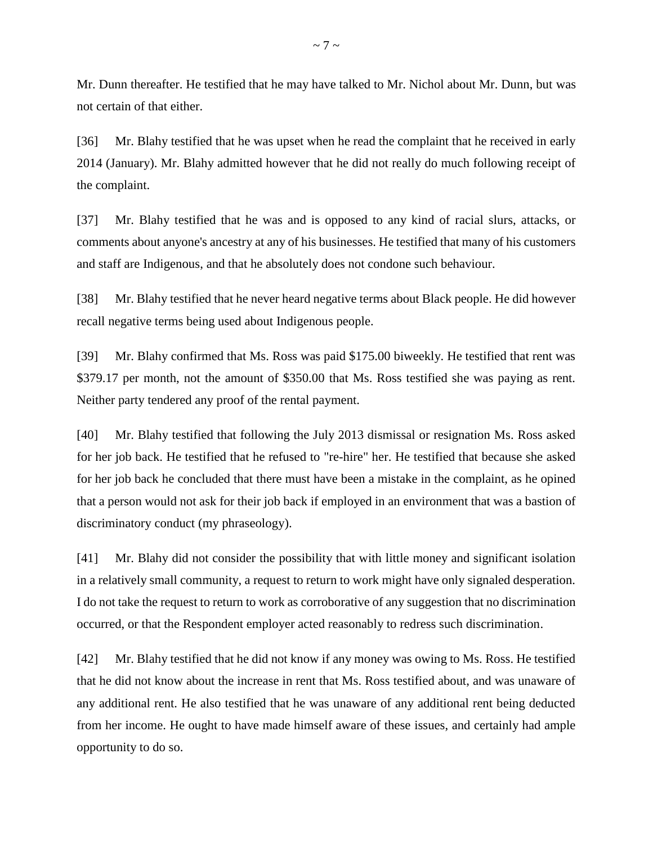Mr. Dunn thereafter. He testified that he may have talked to Mr. Nichol about Mr. Dunn, but was not certain of that either.

[36] Mr. Blahy testified that he was upset when he read the complaint that he received in early 2014 (January). Mr. Blahy admitted however that he did not really do much following receipt of the complaint.

[37] Mr. Blahy testified that he was and is opposed to any kind of racial slurs, attacks, or comments about anyone's ancestry at any of his businesses. He testified that many of his customers and staff are Indigenous, and that he absolutely does not condone such behaviour.

[38] Mr. Blahy testified that he never heard negative terms about Black people. He did however recall negative terms being used about Indigenous people.

[39] Mr. Blahy confirmed that Ms. Ross was paid \$175.00 biweekly. He testified that rent was \$379.17 per month, not the amount of \$350.00 that Ms. Ross testified she was paying as rent. Neither party tendered any proof of the rental payment.

[40] Mr. Blahy testified that following the July 2013 dismissal or resignation Ms. Ross asked for her job back. He testified that he refused to "re-hire" her. He testified that because she asked for her job back he concluded that there must have been a mistake in the complaint, as he opined that a person would not ask for their job back if employed in an environment that was a bastion of discriminatory conduct (my phraseology).

[41] Mr. Blahy did not consider the possibility that with little money and significant isolation in a relatively small community, a request to return to work might have only signaled desperation. I do not take the request to return to work as corroborative of any suggestion that no discrimination occurred, or that the Respondent employer acted reasonably to redress such discrimination.

[42] Mr. Blahy testified that he did not know if any money was owing to Ms. Ross. He testified that he did not know about the increase in rent that Ms. Ross testified about, and was unaware of any additional rent. He also testified that he was unaware of any additional rent being deducted from her income. He ought to have made himself aware of these issues, and certainly had ample opportunity to do so.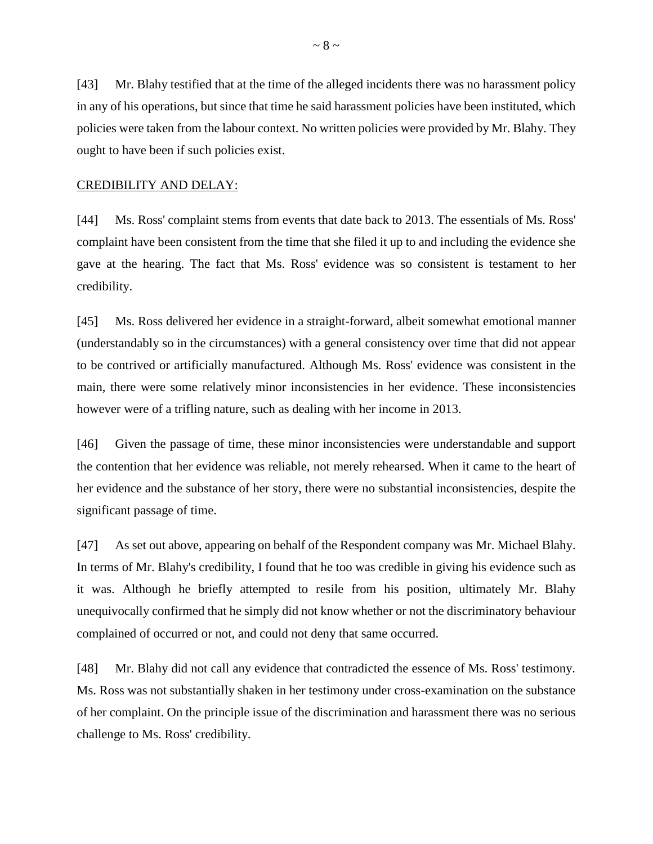[43] Mr. Blahy testified that at the time of the alleged incidents there was no harassment policy in any of his operations, but since that time he said harassment policies have been instituted, which policies were taken from the labour context. No written policies were provided by Mr. Blahy. They ought to have been if such policies exist.

### CREDIBILITY AND DELAY:

[44] Ms. Ross' complaint stems from events that date back to 2013. The essentials of Ms. Ross' complaint have been consistent from the time that she filed it up to and including the evidence she gave at the hearing. The fact that Ms. Ross' evidence was so consistent is testament to her credibility.

[45] Ms. Ross delivered her evidence in a straight-forward, albeit somewhat emotional manner (understandably so in the circumstances) with a general consistency over time that did not appear to be contrived or artificially manufactured. Although Ms. Ross' evidence was consistent in the main, there were some relatively minor inconsistencies in her evidence. These inconsistencies however were of a trifling nature, such as dealing with her income in 2013.

[46] Given the passage of time, these minor inconsistencies were understandable and support the contention that her evidence was reliable, not merely rehearsed. When it came to the heart of her evidence and the substance of her story, there were no substantial inconsistencies, despite the significant passage of time.

[47] As set out above, appearing on behalf of the Respondent company was Mr. Michael Blahy. In terms of Mr. Blahy's credibility, I found that he too was credible in giving his evidence such as it was. Although he briefly attempted to resile from his position, ultimately Mr. Blahy unequivocally confirmed that he simply did not know whether or not the discriminatory behaviour complained of occurred or not, and could not deny that same occurred.

[48] Mr. Blahy did not call any evidence that contradicted the essence of Ms. Ross' testimony. Ms. Ross was not substantially shaken in her testimony under cross-examination on the substance of her complaint. On the principle issue of the discrimination and harassment there was no serious challenge to Ms. Ross' credibility.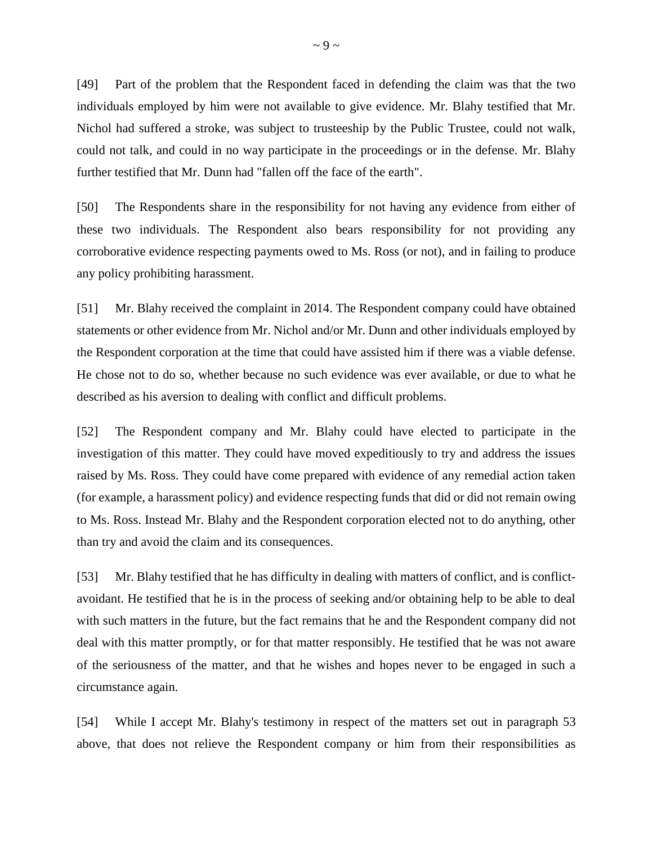[49] Part of the problem that the Respondent faced in defending the claim was that the two individuals employed by him were not available to give evidence. Mr. Blahy testified that Mr. Nichol had suffered a stroke, was subject to trusteeship by the Public Trustee, could not walk, could not talk, and could in no way participate in the proceedings or in the defense. Mr. Blahy further testified that Mr. Dunn had "fallen off the face of the earth".

[50] The Respondents share in the responsibility for not having any evidence from either of these two individuals. The Respondent also bears responsibility for not providing any corroborative evidence respecting payments owed to Ms. Ross (or not), and in failing to produce any policy prohibiting harassment.

[51] Mr. Blahy received the complaint in 2014. The Respondent company could have obtained statements or other evidence from Mr. Nichol and/or Mr. Dunn and other individuals employed by the Respondent corporation at the time that could have assisted him if there was a viable defense. He chose not to do so, whether because no such evidence was ever available, or due to what he described as his aversion to dealing with conflict and difficult problems.

[52] The Respondent company and Mr. Blahy could have elected to participate in the investigation of this matter. They could have moved expeditiously to try and address the issues raised by Ms. Ross. They could have come prepared with evidence of any remedial action taken (for example, a harassment policy) and evidence respecting funds that did or did not remain owing to Ms. Ross. Instead Mr. Blahy and the Respondent corporation elected not to do anything, other than try and avoid the claim and its consequences.

[53] Mr. Blahy testified that he has difficulty in dealing with matters of conflict, and is conflictavoidant. He testified that he is in the process of seeking and/or obtaining help to be able to deal with such matters in the future, but the fact remains that he and the Respondent company did not deal with this matter promptly, or for that matter responsibly. He testified that he was not aware of the seriousness of the matter, and that he wishes and hopes never to be engaged in such a circumstance again.

[54] While I accept Mr. Blahy's testimony in respect of the matters set out in paragraph 53 above, that does not relieve the Respondent company or him from their responsibilities as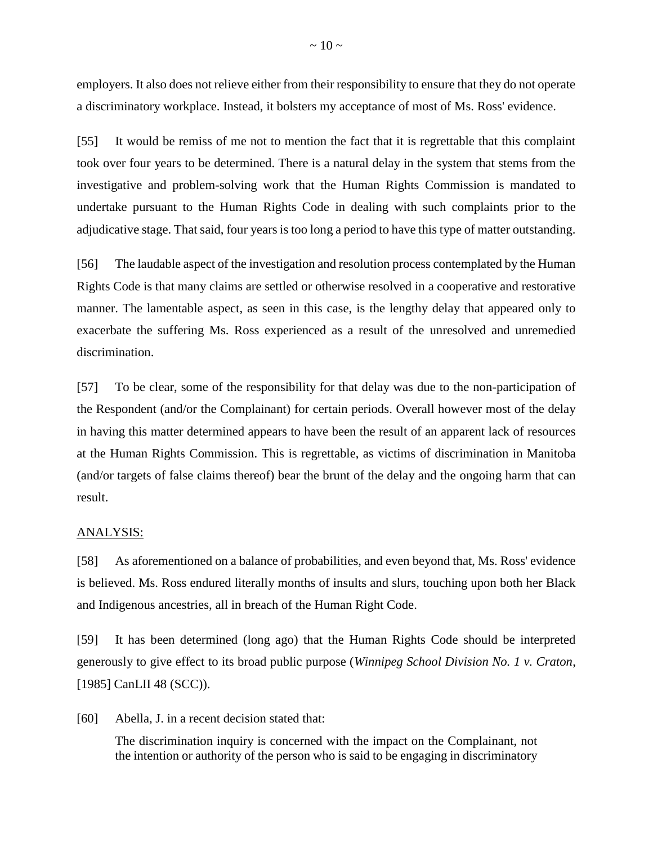employers. It also does not relieve either from their responsibility to ensure that they do not operate a discriminatory workplace. Instead, it bolsters my acceptance of most of Ms. Ross' evidence.

[55] It would be remiss of me not to mention the fact that it is regrettable that this complaint took over four years to be determined. There is a natural delay in the system that stems from the investigative and problem-solving work that the Human Rights Commission is mandated to undertake pursuant to the Human Rights Code in dealing with such complaints prior to the adjudicative stage. That said, four years is too long a period to have this type of matter outstanding.

[56] The laudable aspect of the investigation and resolution process contemplated by the Human Rights Code is that many claims are settled or otherwise resolved in a cooperative and restorative manner. The lamentable aspect, as seen in this case, is the lengthy delay that appeared only to exacerbate the suffering Ms. Ross experienced as a result of the unresolved and unremedied discrimination.

[57] To be clear, some of the responsibility for that delay was due to the non-participation of the Respondent (and/or the Complainant) for certain periods. Overall however most of the delay in having this matter determined appears to have been the result of an apparent lack of resources at the Human Rights Commission. This is regrettable, as victims of discrimination in Manitoba (and/or targets of false claims thereof) bear the brunt of the delay and the ongoing harm that can result.

## ANALYSIS:

[58] As aforementioned on a balance of probabilities, and even beyond that, Ms. Ross' evidence is believed. Ms. Ross endured literally months of insults and slurs, touching upon both her Black and Indigenous ancestries, all in breach of the Human Right Code.

[59] It has been determined (long ago) that the Human Rights Code should be interpreted generously to give effect to its broad public purpose (*Winnipeg School Division No. 1 v. Craton*, [1985] CanLII 48 (SCC)).

[60] Abella, J. in a recent decision stated that:

The discrimination inquiry is concerned with the impact on the Complainant, not the intention or authority of the person who is said to be engaging in discriminatory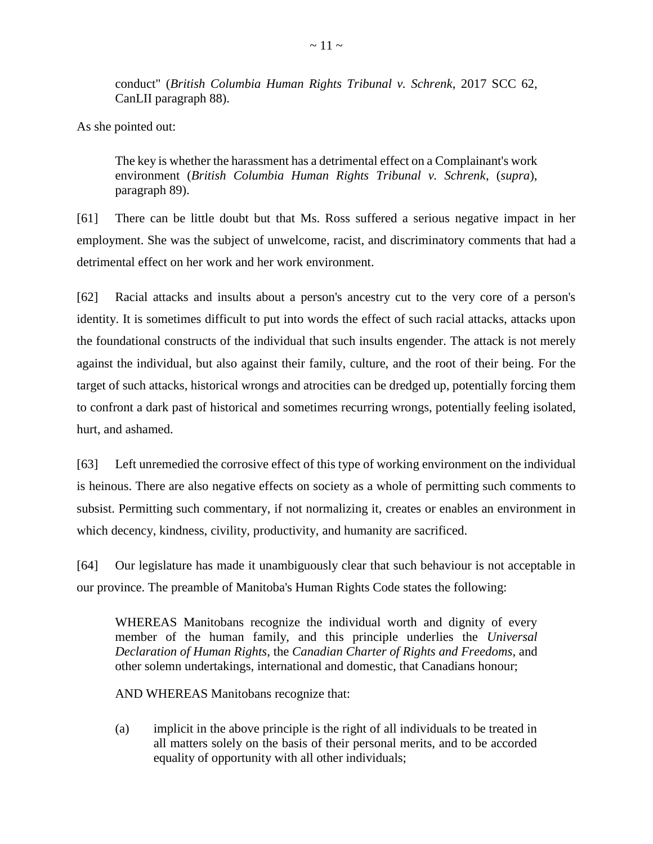conduct" (*British Columbia Human Rights Tribunal v. Schrenk*, 2017 SCC 62, CanLII paragraph 88).

As she pointed out:

The key is whether the harassment has a detrimental effect on a Complainant's work environment (*British Columbia Human Rights Tribunal v. Schrenk*, (*supra*), paragraph 89).

[61] There can be little doubt but that Ms. Ross suffered a serious negative impact in her employment. She was the subject of unwelcome, racist, and discriminatory comments that had a detrimental effect on her work and her work environment.

[62] Racial attacks and insults about a person's ancestry cut to the very core of a person's identity. It is sometimes difficult to put into words the effect of such racial attacks, attacks upon the foundational constructs of the individual that such insults engender. The attack is not merely against the individual, but also against their family, culture, and the root of their being. For the target of such attacks, historical wrongs and atrocities can be dredged up, potentially forcing them to confront a dark past of historical and sometimes recurring wrongs, potentially feeling isolated, hurt, and ashamed.

[63] Left unremedied the corrosive effect of this type of working environment on the individual is heinous. There are also negative effects on society as a whole of permitting such comments to subsist. Permitting such commentary, if not normalizing it, creates or enables an environment in which decency, kindness, civility, productivity, and humanity are sacrificed.

[64] Our legislature has made it unambiguously clear that such behaviour is not acceptable in our province. The preamble of Manitoba's Human Rights Code states the following:

WHEREAS Manitobans recognize the individual worth and dignity of every member of the human family, and this principle underlies the *Universal Declaration of Human Rights*, the *Canadian Charter of Rights and Freedoms*, and other solemn undertakings, international and domestic, that Canadians honour;

AND WHEREAS Manitobans recognize that:

(a) implicit in the above principle is the right of all individuals to be treated in all matters solely on the basis of their personal merits, and to be accorded equality of opportunity with all other individuals;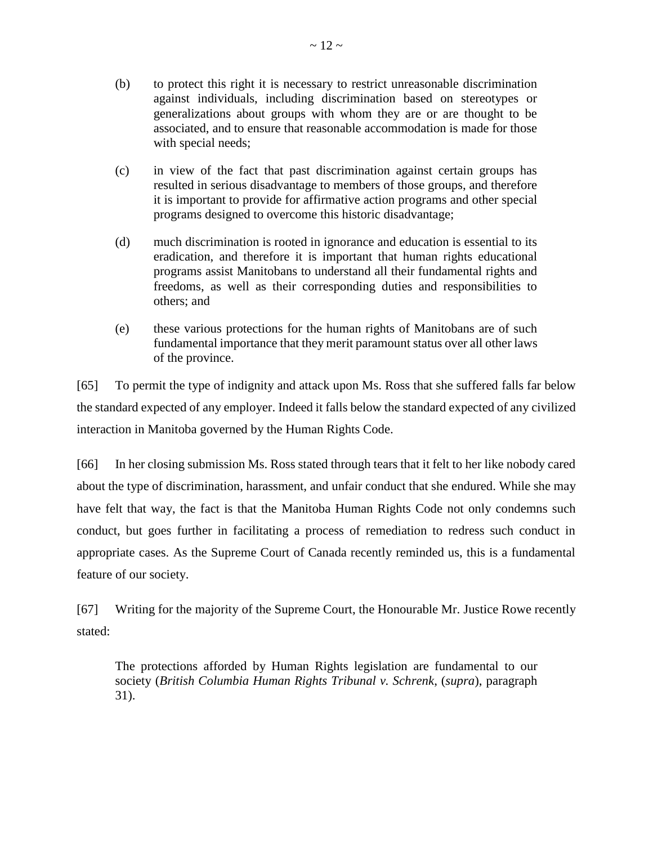- (c) in view of the fact that past discrimination against certain groups has resulted in serious disadvantage to members of those groups, and therefore it is important to provide for affirmative action programs and other special programs designed to overcome this historic disadvantage;
- (d) much discrimination is rooted in ignorance and education is essential to its eradication, and therefore it is important that human rights educational programs assist Manitobans to understand all their fundamental rights and freedoms, as well as their corresponding duties and responsibilities to others; and
- (e) these various protections for the human rights of Manitobans are of such fundamental importance that they merit paramount status over all other laws of the province.

[65] To permit the type of indignity and attack upon Ms. Ross that she suffered falls far below the standard expected of any employer. Indeed it falls below the standard expected of any civilized interaction in Manitoba governed by the Human Rights Code.

[66] In her closing submission Ms. Ross stated through tears that it felt to her like nobody cared about the type of discrimination, harassment, and unfair conduct that she endured. While she may have felt that way, the fact is that the Manitoba Human Rights Code not only condemns such conduct, but goes further in facilitating a process of remediation to redress such conduct in appropriate cases. As the Supreme Court of Canada recently reminded us, this is a fundamental feature of our society.

[67] Writing for the majority of the Supreme Court, the Honourable Mr. Justice Rowe recently stated:

The protections afforded by Human Rights legislation are fundamental to our society (*British Columbia Human Rights Tribunal v. Schrenk*, (*supra*), paragraph 31).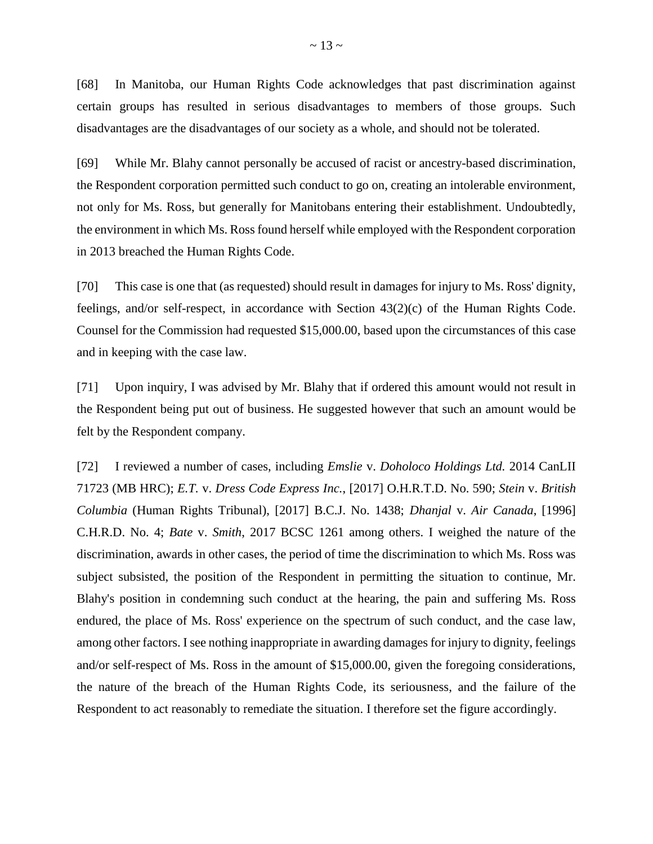[68] In Manitoba, our Human Rights Code acknowledges that past discrimination against certain groups has resulted in serious disadvantages to members of those groups. Such disadvantages are the disadvantages of our society as a whole, and should not be tolerated.

[69] While Mr. Blahy cannot personally be accused of racist or ancestry-based discrimination, the Respondent corporation permitted such conduct to go on, creating an intolerable environment, not only for Ms. Ross, but generally for Manitobans entering their establishment. Undoubtedly, the environment in which Ms. Ross found herself while employed with the Respondent corporation in 2013 breached the Human Rights Code.

[70] This case is one that (as requested) should result in damages for injury to Ms. Ross' dignity, feelings, and/or self-respect, in accordance with Section 43(2)(c) of the Human Rights Code. Counsel for the Commission had requested \$15,000.00, based upon the circumstances of this case and in keeping with the case law.

[71] Upon inquiry, I was advised by Mr. Blahy that if ordered this amount would not result in the Respondent being put out of business. He suggested however that such an amount would be felt by the Respondent company.

[72] I reviewed a number of cases, including *Emslie* v. *Doholoco Holdings Ltd.* 2014 CanLII 71723 (MB HRC); *E.T.* v. *Dress Code Express Inc.*, [2017] O.H.R.T.D. No. 590; *Stein* v. *British Columbia* (Human Rights Tribunal), [2017] B.C.J. No. 1438; *Dhanjal* v. *Air Canada*, [1996] C.H.R.D. No. 4; *Bate* v. *Smith*, 2017 BCSC 1261 among others. I weighed the nature of the discrimination, awards in other cases, the period of time the discrimination to which Ms. Ross was subject subsisted, the position of the Respondent in permitting the situation to continue, Mr. Blahy's position in condemning such conduct at the hearing, the pain and suffering Ms. Ross endured, the place of Ms. Ross' experience on the spectrum of such conduct, and the case law, among other factors. Isee nothing inappropriate in awarding damages for injury to dignity, feelings and/or self-respect of Ms. Ross in the amount of \$15,000.00, given the foregoing considerations, the nature of the breach of the Human Rights Code, its seriousness, and the failure of the Respondent to act reasonably to remediate the situation. I therefore set the figure accordingly.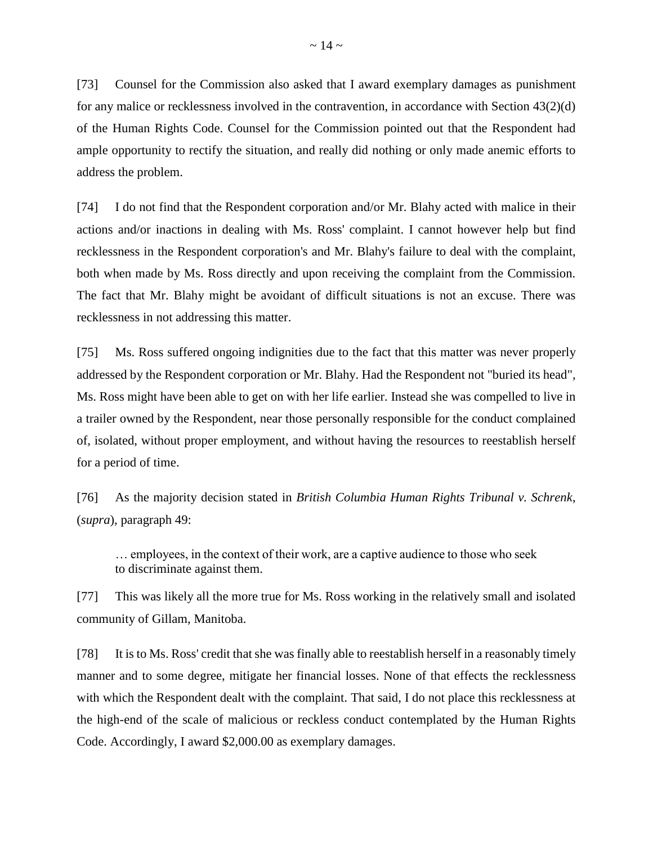[73] Counsel for the Commission also asked that I award exemplary damages as punishment for any malice or recklessness involved in the contravention, in accordance with Section 43(2)(d) of the Human Rights Code. Counsel for the Commission pointed out that the Respondent had ample opportunity to rectify the situation, and really did nothing or only made anemic efforts to address the problem.

[74] I do not find that the Respondent corporation and/or Mr. Blahy acted with malice in their actions and/or inactions in dealing with Ms. Ross' complaint. I cannot however help but find recklessness in the Respondent corporation's and Mr. Blahy's failure to deal with the complaint, both when made by Ms. Ross directly and upon receiving the complaint from the Commission. The fact that Mr. Blahy might be avoidant of difficult situations is not an excuse. There was recklessness in not addressing this matter.

[75] Ms. Ross suffered ongoing indignities due to the fact that this matter was never properly addressed by the Respondent corporation or Mr. Blahy. Had the Respondent not "buried its head", Ms. Ross might have been able to get on with her life earlier. Instead she was compelled to live in a trailer owned by the Respondent, near those personally responsible for the conduct complained of, isolated, without proper employment, and without having the resources to reestablish herself for a period of time.

[76] As the majority decision stated in *British Columbia Human Rights Tribunal v. Schrenk*, (*supra*), paragraph 49:

… employees, in the context of their work, are a captive audience to those who seek to discriminate against them.

[77] This was likely all the more true for Ms. Ross working in the relatively small and isolated community of Gillam, Manitoba.

[78] It is to Ms. Ross' credit that she was finally able to reestablish herself in a reasonably timely manner and to some degree, mitigate her financial losses. None of that effects the recklessness with which the Respondent dealt with the complaint. That said, I do not place this recklessness at the high-end of the scale of malicious or reckless conduct contemplated by the Human Rights Code. Accordingly, I award \$2,000.00 as exemplary damages.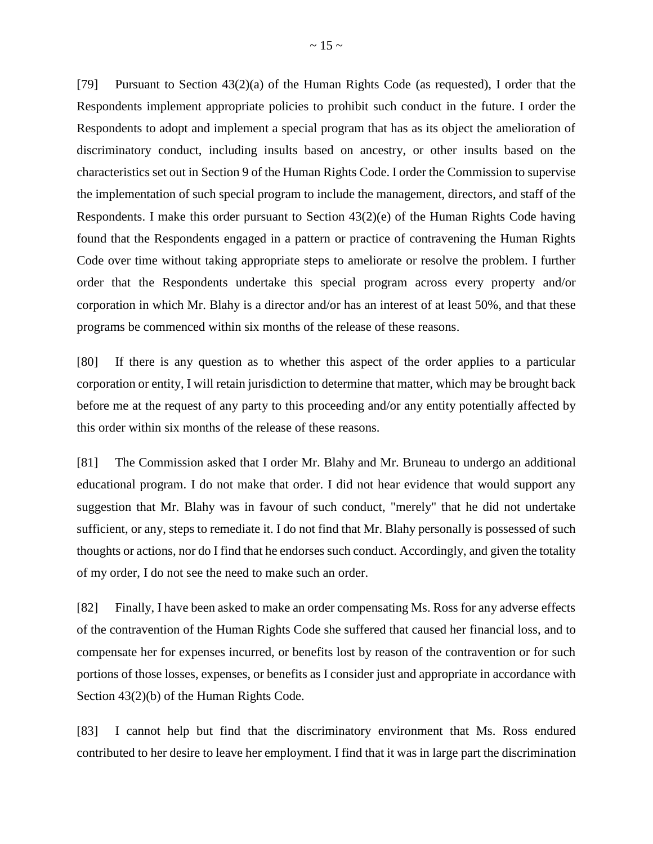[79] Pursuant to Section 43(2)(a) of the Human Rights Code (as requested), I order that the Respondents implement appropriate policies to prohibit such conduct in the future. I order the Respondents to adopt and implement a special program that has as its object the amelioration of discriminatory conduct, including insults based on ancestry, or other insults based on the characteristics set out in Section 9 of the Human Rights Code. I order the Commission to supervise the implementation of such special program to include the management, directors, and staff of the Respondents. I make this order pursuant to Section 43(2)(e) of the Human Rights Code having found that the Respondents engaged in a pattern or practice of contravening the Human Rights Code over time without taking appropriate steps to ameliorate or resolve the problem. I further order that the Respondents undertake this special program across every property and/or corporation in which Mr. Blahy is a director and/or has an interest of at least 50%, and that these programs be commenced within six months of the release of these reasons.

[80] If there is any question as to whether this aspect of the order applies to a particular corporation or entity, I will retain jurisdiction to determine that matter, which may be brought back before me at the request of any party to this proceeding and/or any entity potentially affected by this order within six months of the release of these reasons.

[81] The Commission asked that I order Mr. Blahy and Mr. Bruneau to undergo an additional educational program. I do not make that order. I did not hear evidence that would support any suggestion that Mr. Blahy was in favour of such conduct, "merely" that he did not undertake sufficient, or any, steps to remediate it. I do not find that Mr. Blahy personally is possessed of such thoughts or actions, nor do I find that he endorses such conduct. Accordingly, and given the totality of my order, I do not see the need to make such an order.

[82] Finally, I have been asked to make an order compensating Ms. Ross for any adverse effects of the contravention of the Human Rights Code she suffered that caused her financial loss, and to compensate her for expenses incurred, or benefits lost by reason of the contravention or for such portions of those losses, expenses, or benefits as I consider just and appropriate in accordance with Section 43(2)(b) of the Human Rights Code.

[83] I cannot help but find that the discriminatory environment that Ms. Ross endured contributed to her desire to leave her employment. I find that it was in large part the discrimination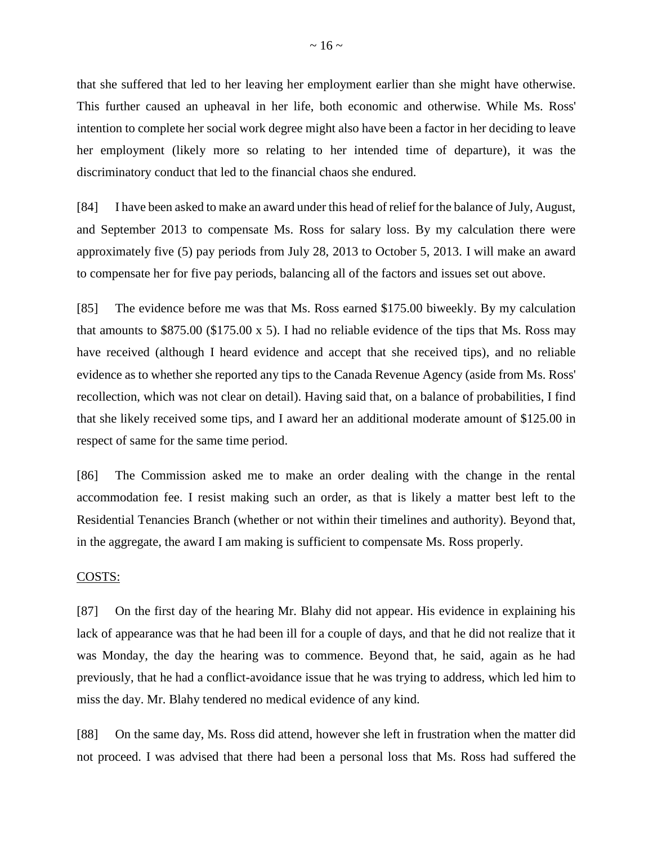that she suffered that led to her leaving her employment earlier than she might have otherwise. This further caused an upheaval in her life, both economic and otherwise. While Ms. Ross' intention to complete her social work degree might also have been a factor in her deciding to leave her employment (likely more so relating to her intended time of departure), it was the discriminatory conduct that led to the financial chaos she endured.

[84] I have been asked to make an award under this head of relief for the balance of July, August, and September 2013 to compensate Ms. Ross for salary loss. By my calculation there were approximately five (5) pay periods from July 28, 2013 to October 5, 2013. I will make an award to compensate her for five pay periods, balancing all of the factors and issues set out above.

[85] The evidence before me was that Ms. Ross earned \$175.00 biweekly. By my calculation that amounts to \$875.00 (\$175.00 x 5). I had no reliable evidence of the tips that Ms. Ross may have received (although I heard evidence and accept that she received tips), and no reliable evidence as to whether she reported any tips to the Canada Revenue Agency (aside from Ms. Ross' recollection, which was not clear on detail). Having said that, on a balance of probabilities, I find that she likely received some tips, and I award her an additional moderate amount of \$125.00 in respect of same for the same time period.

[86] The Commission asked me to make an order dealing with the change in the rental accommodation fee. I resist making such an order, as that is likely a matter best left to the Residential Tenancies Branch (whether or not within their timelines and authority). Beyond that, in the aggregate, the award I am making is sufficient to compensate Ms. Ross properly.

#### COSTS:

[87] On the first day of the hearing Mr. Blahy did not appear. His evidence in explaining his lack of appearance was that he had been ill for a couple of days, and that he did not realize that it was Monday, the day the hearing was to commence. Beyond that, he said, again as he had previously, that he had a conflict-avoidance issue that he was trying to address, which led him to miss the day. Mr. Blahy tendered no medical evidence of any kind.

[88] On the same day, Ms. Ross did attend, however she left in frustration when the matter did not proceed. I was advised that there had been a personal loss that Ms. Ross had suffered the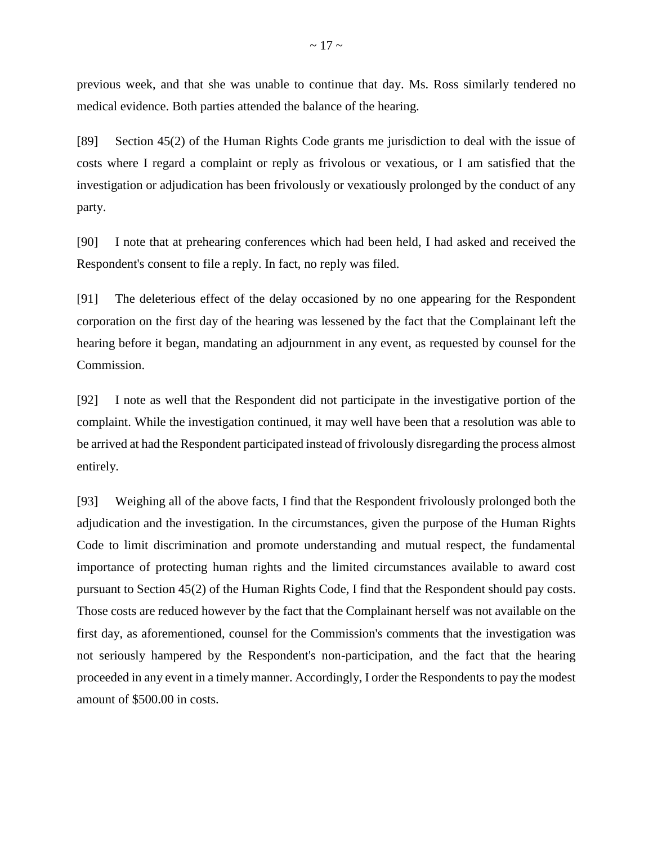previous week, and that she was unable to continue that day. Ms. Ross similarly tendered no medical evidence. Both parties attended the balance of the hearing.

[89] Section 45(2) of the Human Rights Code grants me jurisdiction to deal with the issue of costs where I regard a complaint or reply as frivolous or vexatious, or I am satisfied that the investigation or adjudication has been frivolously or vexatiously prolonged by the conduct of any party.

[90] I note that at prehearing conferences which had been held, I had asked and received the Respondent's consent to file a reply. In fact, no reply was filed.

[91] The deleterious effect of the delay occasioned by no one appearing for the Respondent corporation on the first day of the hearing was lessened by the fact that the Complainant left the hearing before it began, mandating an adjournment in any event, as requested by counsel for the Commission.

[92] I note as well that the Respondent did not participate in the investigative portion of the complaint. While the investigation continued, it may well have been that a resolution was able to be arrived at had the Respondent participated instead of frivolously disregarding the process almost entirely.

[93] Weighing all of the above facts, I find that the Respondent frivolously prolonged both the adjudication and the investigation. In the circumstances, given the purpose of the Human Rights Code to limit discrimination and promote understanding and mutual respect, the fundamental importance of protecting human rights and the limited circumstances available to award cost pursuant to Section 45(2) of the Human Rights Code, I find that the Respondent should pay costs. Those costs are reduced however by the fact that the Complainant herself was not available on the first day, as aforementioned, counsel for the Commission's comments that the investigation was not seriously hampered by the Respondent's non-participation, and the fact that the hearing proceeded in any event in a timely manner. Accordingly, I order the Respondents to pay the modest amount of \$500.00 in costs.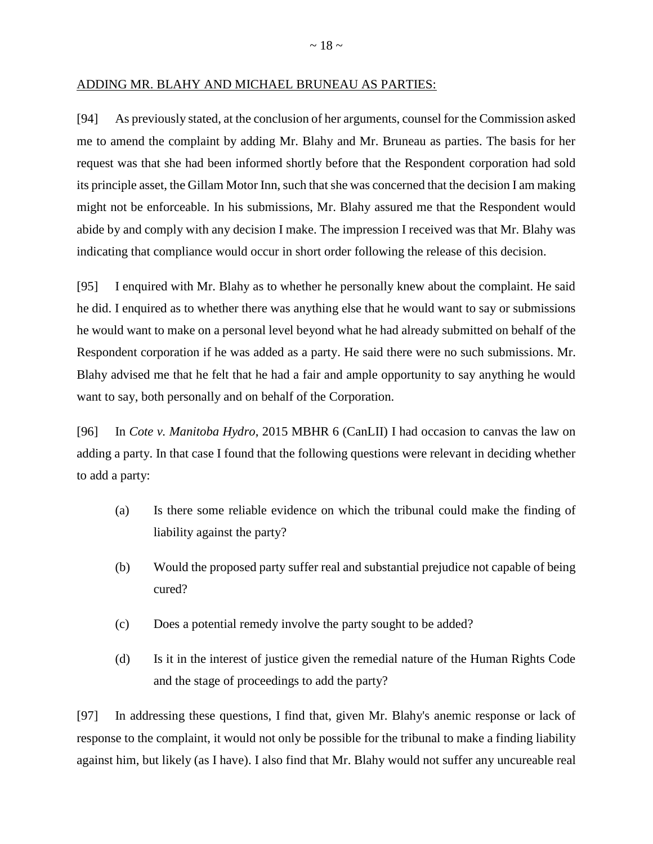### ADDING MR. BLAHY AND MICHAEL BRUNEAU AS PARTIES:

[94] As previously stated, at the conclusion of her arguments, counsel for the Commission asked me to amend the complaint by adding Mr. Blahy and Mr. Bruneau as parties. The basis for her request was that she had been informed shortly before that the Respondent corporation had sold its principle asset, the Gillam Motor Inn, such that she was concerned that the decision I am making might not be enforceable. In his submissions, Mr. Blahy assured me that the Respondent would abide by and comply with any decision I make. The impression I received was that Mr. Blahy was indicating that compliance would occur in short order following the release of this decision.

[95] I enquired with Mr. Blahy as to whether he personally knew about the complaint. He said he did. I enquired as to whether there was anything else that he would want to say or submissions he would want to make on a personal level beyond what he had already submitted on behalf of the Respondent corporation if he was added as a party. He said there were no such submissions. Mr. Blahy advised me that he felt that he had a fair and ample opportunity to say anything he would want to say, both personally and on behalf of the Corporation.

[96] In *Cote v. Manitoba Hydro*, 2015 MBHR 6 (CanLII) I had occasion to canvas the law on adding a party. In that case I found that the following questions were relevant in deciding whether to add a party:

- (a) Is there some reliable evidence on which the tribunal could make the finding of liability against the party?
- (b) Would the proposed party suffer real and substantial prejudice not capable of being cured?
- (c) Does a potential remedy involve the party sought to be added?
- (d) Is it in the interest of justice given the remedial nature of the Human Rights Code and the stage of proceedings to add the party?

[97] In addressing these questions, I find that, given Mr. Blahy's anemic response or lack of response to the complaint, it would not only be possible for the tribunal to make a finding liability against him, but likely (as I have). I also find that Mr. Blahy would not suffer any uncureable real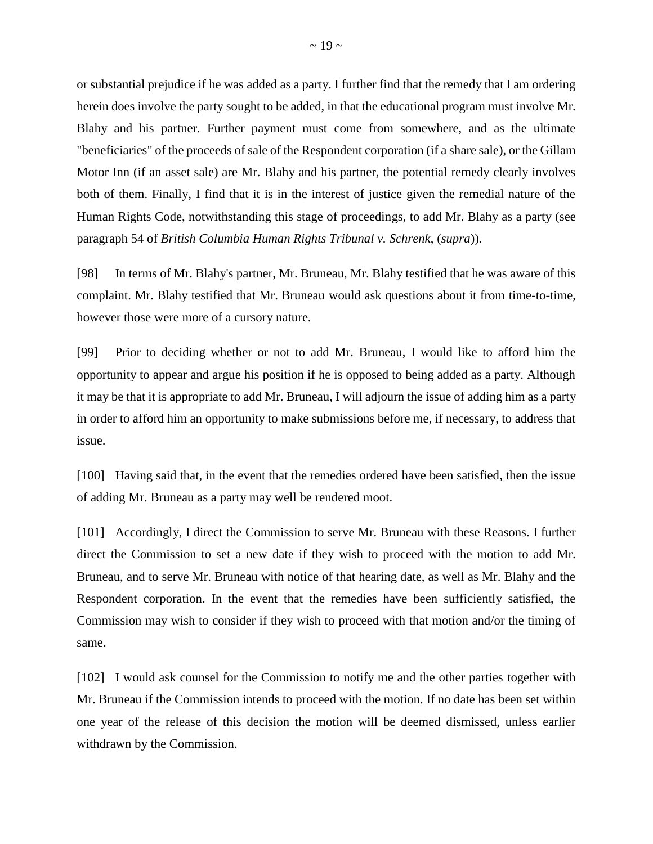or substantial prejudice if he was added as a party. I further find that the remedy that I am ordering herein does involve the party sought to be added, in that the educational program must involve Mr. Blahy and his partner. Further payment must come from somewhere, and as the ultimate "beneficiaries" of the proceeds of sale of the Respondent corporation (if a share sale), or the Gillam Motor Inn (if an asset sale) are Mr. Blahy and his partner, the potential remedy clearly involves both of them. Finally, I find that it is in the interest of justice given the remedial nature of the Human Rights Code, notwithstanding this stage of proceedings, to add Mr. Blahy as a party (see paragraph 54 of *British Columbia Human Rights Tribunal v. Schrenk*, (*supra*)).

[98] In terms of Mr. Blahy's partner, Mr. Bruneau, Mr. Blahy testified that he was aware of this complaint. Mr. Blahy testified that Mr. Bruneau would ask questions about it from time-to-time, however those were more of a cursory nature.

[99] Prior to deciding whether or not to add Mr. Bruneau, I would like to afford him the opportunity to appear and argue his position if he is opposed to being added as a party. Although it may be that it is appropriate to add Mr. Bruneau, I will adjourn the issue of adding him as a party in order to afford him an opportunity to make submissions before me, if necessary, to address that issue.

[100] Having said that, in the event that the remedies ordered have been satisfied, then the issue of adding Mr. Bruneau as a party may well be rendered moot.

[101] Accordingly, I direct the Commission to serve Mr. Bruneau with these Reasons. I further direct the Commission to set a new date if they wish to proceed with the motion to add Mr. Bruneau, and to serve Mr. Bruneau with notice of that hearing date, as well as Mr. Blahy and the Respondent corporation. In the event that the remedies have been sufficiently satisfied, the Commission may wish to consider if they wish to proceed with that motion and/or the timing of same.

[102] I would ask counsel for the Commission to notify me and the other parties together with Mr. Bruneau if the Commission intends to proceed with the motion. If no date has been set within one year of the release of this decision the motion will be deemed dismissed, unless earlier withdrawn by the Commission.